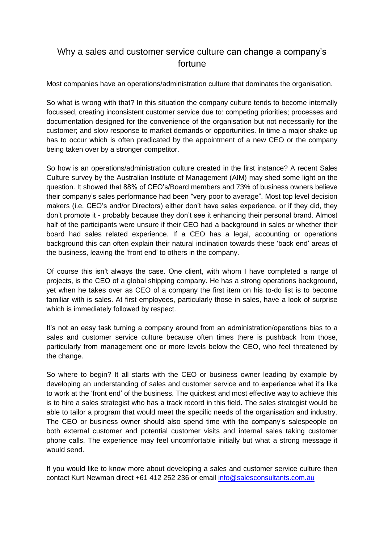## Why a sales and customer service culture can change a company's fortune

Most companies have an operations/administration culture that dominates the organisation.

So what is wrong with that? In this situation the company culture tends to become internally focussed, creating inconsistent customer service due to: competing priorities; processes and documentation designed for the convenience of the organisation but not necessarily for the customer; and slow response to market demands or opportunities. In time a major shake-up has to occur which is often predicated by the appointment of a new CEO or the company being taken over by a stronger competitor.

So how is an operations/administration culture created in the first instance? A recent Sales Culture survey by the Australian Institute of Management (AIM) may shed some light on the question. It showed that 88% of CEO's/Board members and 73% of business owners believe their company's sales performance had been "very poor to average". Most top level decision makers (i.e. CEO's and/or Directors) either don't have sales experience, or if they did, they don't promote it - probably because they don't see it enhancing their personal brand. Almost half of the participants were unsure if their CEO had a background in sales or whether their board had sales related experience. If a CEO has a legal, accounting or operations background this can often explain their natural inclination towards these 'back end' areas of the business, leaving the 'front end' to others in the company.

Of course this isn't always the case. One client, with whom I have completed a range of projects, is the CEO of a global shipping company. He has a strong operations background, yet when he takes over as CEO of a company the first item on his to-do list is to become familiar with is sales. At first employees, particularly those in sales, have a look of surprise which is immediately followed by respect.

It's not an easy task turning a company around from an administration/operations bias to a sales and customer service culture because often times there is pushback from those, particularly from management one or more levels below the CEO, who feel threatened by the change.

So where to begin? It all starts with the CEO or business owner leading by example by developing an understanding of sales and customer service and to experience what it's like to work at the 'front end' of the business. The quickest and most effective way to achieve this is to hire a sales strategist who has a track record in this field. The sales strategist would be able to tailor a program that would meet the specific needs of the organisation and industry. The CEO or business owner should also spend time with the company's salespeople on both external customer and potential customer visits and internal sales taking customer phone calls. The experience may feel uncomfortable initially but what a strong message it would send.

If you would like to know more about developing a sales and customer service culture then contact Kurt Newman direct +61 412 252 236 or email [info@salesconsultants.com.au](mailto:info@salesconsultants.com.au)